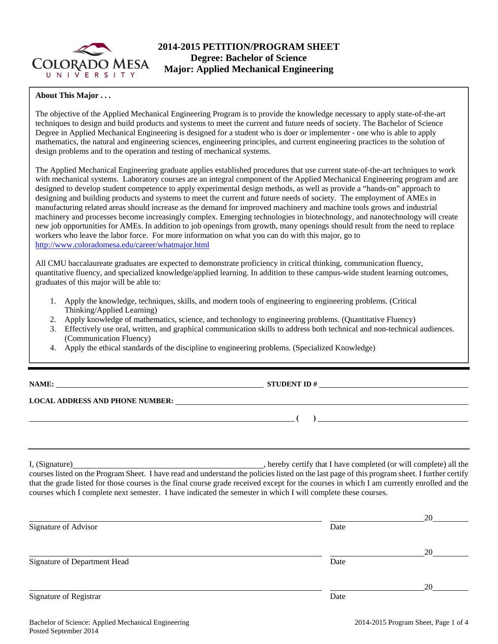

## **2014-2015 PETITION/PROGRAM SHEET Degree: Bachelor of Science Major: Applied Mechanical Engineering**

#### **About This Major . . .**

The objective of the Applied Mechanical Engineering Program is to provide the knowledge necessary to apply state-of-the-art techniques to design and build products and systems to meet the current and future needs of society. The Bachelor of Science Degree in Applied Mechanical Engineering is designed for a student who is doer or implementer - one who is able to apply mathematics, the natural and engineering sciences, engineering principles, and current engineering practices to the solution of design problems and to the operation and testing of mechanical systems.

The Applied Mechanical Engineering graduate applies established procedures that use current state-of-the-art techniques to work with mechanical systems. Laboratory courses are an integral component of the Applied Mechanical Engineering program and are designed to develop student competence to apply experimental design methods, as well as provide a "hands-on" approach to designing and building products and systems to meet the current and future needs of society. The employment of AMEs in manufacturing related areas should increase as the demand for improved machinery and machine tools grows and industrial machinery and processes become increasingly complex. Emerging technologies in biotechnology, and nanotechnology will create new job opportunities for AMEs. In addition to job openings from growth, many openings should result from the need to replace workers who leave the labor force. For more information on what you can do with this major, go to http://www.coloradomesa.edu/career/whatmajor.html

All CMU baccalaureate graduates are expected to demonstrate proficiency in critical thinking, communication fluency, quantitative fluency, and specialized knowledge/applied learning. In addition to these campus-wide student learning outcomes, graduates of this major will be able to:

- 1. Apply the knowledge, techniques, skills, and modern tools of engineering to engineering problems. (Critical Thinking/Applied Learning)
- 2. Apply knowledge of mathematics, science, and technology to engineering problems. (Quantitative Fluency)
- 3. Effectively use oral, written, and graphical communication skills to address both technical and non-technical audiences. (Communication Fluency)
- 4. Apply the ethical standards of the discipline to engineering problems. (Specialized Knowledge)

| NAME:<br><u> 1989 - Johann Stein, fransk politiker (d. 1989)</u> | <b>STUDENT ID#</b> |  |
|------------------------------------------------------------------|--------------------|--|
| <b>LOCAL ADDRESS AND PHONE NUMBER:</b>                           |                    |  |
|                                                                  |                    |  |
|                                                                  |                    |  |

I, (Signature) hereby certify that I have completed (or will complete) all the courses listed on the Program Sheet. I have read and understand the policies listed on the last page of this program sheet. I further certify that the grade listed for those courses is the final course grade received except for the courses in which I am currently enrolled and the courses which I complete next semester. I have indicated the semester in which I will complete these courses.

|                              |      | 20 |
|------------------------------|------|----|
| Signature of Advisor         | Date |    |
|                              |      |    |
|                              |      | 20 |
| Signature of Department Head | Date |    |
|                              |      | 20 |
| Signature of Registrar       | Date |    |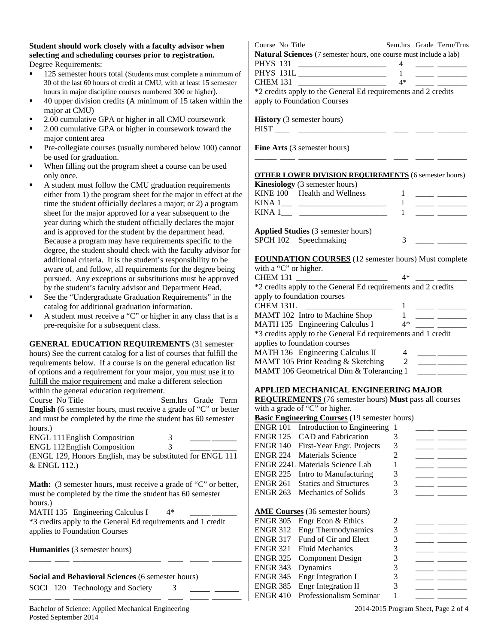**Student should work closely with a faculty advisor when selecting and scheduling courses prior to registration.**  Degree Requirements:

- 125 semester hours total (Students must complete a minimum of 30 of the last 60 hours of credit at CMU, with at least 15 semester hours in major discipline courses numbered 300 or higher).
- 40 upper division credits (A minimum of 15 taken within the major at CMU)
- 2.00 cumulative GPA or higher in all CMU coursework
- 2.00 cumulative GPA or higher in coursework toward the major content area
- Pre-collegiate courses (usually numbered below 100) cannot be used for graduation.
- When filling out the program sheet a course can be used only once.
- A student must follow the CMU graduation requirements either from 1) the program sheet for the major in effect at the time the student officially declares a major; or 2) a program sheet for the major approved for a year subsequent to the year during which the student officially declares the major and is approved for the student by the department head. Because a program may have requirements specific to the degree, the student should check with the faculty advisor for additional criteria. It is the student's responsibility to be aware of, and follow, all requirements for the degree being pursued. Any exceptions or substitutions must be approved by the student's faculty advisor and Department Head.
- See the "Undergraduate Graduation Requirements" in the catalog for additional graduation information.
- A student must receive a "C" or higher in any class that is a pre-requisite for a subsequent class.

**GENERAL EDUCATION REQUIREMENTS** (31 semester hours) See the current catalog for a list of courses that fulfill the requirements below. If a course is on the general education list of options and a requirement for your major, you must use it to fulfill the major requirement and make a different selection within the general education requirement.

Course No Title Sem.hrs Grade Term **English** (6 semester hours, must receive a grade of "C" or better and must be completed by the time the student has 60 semester hours.)

| <b>ENGL 111 English Composition</b>                       |  |  |
|-----------------------------------------------------------|--|--|
| <b>ENGL 112 English Composition</b>                       |  |  |
| (ENCI 120 Honors English may be substituted for ENCI 111) |  |  |

(ENGL 129, Honors English, may be substituted for ENGL 111 & ENGL 112.)

**Math:** (3 semester hours, must receive a grade of "C" or better, must be completed by the time the student has 60 semester hours.)

MATH 135 Engineering Calculus I  $4*$ 

\*3 credits apply to the General Ed requirements and 1 credit applies to Foundation Courses

\_\_\_\_\_\_ \_\_\_\_ \_\_\_\_\_\_\_\_\_\_\_\_\_\_\_\_\_\_\_\_\_\_\_\_ \_\_\_\_ \_\_\_\_\_ \_\_\_\_\_\_\_\_

\_\_\_\_\_\_ \_\_\_\_ \_\_\_\_\_\_\_\_\_\_\_\_\_\_\_\_\_\_\_\_\_\_\_\_ \_\_\_\_ \_\_\_\_\_ \_\_\_\_\_\_\_\_

**Humanities** (3 semester hours)

**Social and Behavioral Sciences** (6 semester hours)

SOCI 120 Technology and Society 3

Course No Title Sem.hrs Grade Term/Trns **Natural Sciences** (7 semester hours, one course must include a lab) PHYS 131 \_\_\_\_\_\_\_\_\_\_\_\_\_\_\_\_\_\_\_\_\_\_\_\_ 4 \_\_\_\_\_ \_\_\_\_\_\_\_\_

PHYS 131L 1 CHEM 131 \_\_\_\_\_\_\_\_\_\_\_\_\_\_\_\_\_\_\_\_\_\_\_\_ 4\* \_\_\_\_\_ \_\_\_\_\_\_\_\_

\*2 credits apply to the General Ed requirements and 2 credits apply to Foundation Courses

**History** (3 semester hours) HIST \_\_\_\_ \_\_\_\_\_\_\_\_\_\_\_\_\_\_\_\_\_\_\_\_\_\_\_\_ \_\_\_\_ \_\_\_\_\_ \_\_\_\_\_\_\_\_

**Fine Arts** (3 semester hours)

## **OTHER LOWER DIVISION REQUIREMENTS** (6 semester hours)

\_\_\_\_\_\_ \_\_\_\_ \_\_\_\_\_\_\_\_\_\_\_\_\_\_\_\_\_\_\_\_\_\_\_\_ \_\_\_\_ \_\_\_\_\_ \_\_\_\_\_\_\_\_

| <b>Kinesiology</b> (3 semester hours) |                              |  |  |
|---------------------------------------|------------------------------|--|--|
|                                       | KINE 100 Health and Wellness |  |  |
|                                       |                              |  |  |
|                                       | KINA 1                       |  |  |
|                                       |                              |  |  |

**Applied Studies** (3 semester hours) SPCH 102 Speechmaking 3

**FOUNDATION COURSES** (12 semester hours) Must complete

| with a "C" or higher.                                         |    |
|---------------------------------------------------------------|----|
| <b>CHEM 131</b>                                               | 4* |
| *2 credits apply to the General Ed requirements and 2 credits |    |
| apply to foundation courses                                   |    |
| CHEM 131L                                                     |    |
| MAMT 102 Intro to Machine Shop                                |    |
| MATH 135 Engineering Calculus I                               | 4* |
| *3 credits apply to the General Ed requirements and 1 credit  |    |
| applies to foundation courses                                 |    |
| MATH 136 Engineering Calculus II                              |    |
| MAMT 105 Print Reading & Sketching                            |    |
| MAMT 106 Geometrical Dim & Tolerancing 1                      |    |

#### **APPLIED MECHANICAL ENGINEERING MAJOR**

**REQUIREMENTS** (76 semester hours) **Must** pass all courses with a grade of "C" or higher.

**Basic Engineering Courses** (19 semester hours)

| <b>ENGR 101</b> | Introduction to Engineering            | 1 |  |
|-----------------|----------------------------------------|---|--|
| <b>ENGR 125</b> | CAD and Fabrication                    | 3 |  |
| <b>ENGR 140</b> | First-Year Engr. Projects              | 3 |  |
| <b>ENGR 224</b> | Materials Science                      | 2 |  |
|                 | ENGR 224L Materials Science Lab        |   |  |
| <b>ENGR 225</b> | Intro to Manufacturing                 | 3 |  |
| <b>ENGR 261</b> | <b>Statics and Structures</b>          | 3 |  |
| <b>ENGR 263</b> | Mechanics of Solids                    | 3 |  |
|                 |                                        |   |  |
|                 | <b>AME Courses</b> (36 semester hours) |   |  |
| <b>ENGR 305</b> | Engr Econ & Ethics                     | 2 |  |
| <b>ENGR 312</b> | <b>Engr Thermodynamics</b>             | 3 |  |
| <b>ENGR 317</b> | Fund of Cir and Elect                  | 3 |  |
| <b>ENGR 321</b> | <b>Fluid Mechanics</b>                 | 3 |  |
| <b>ENGR 325</b> | <b>Component Design</b>                | 3 |  |
| <b>ENGR 343</b> | Dynamics                               | 3 |  |
| <b>ENGR 345</b> | Engr Integration I                     | 3 |  |
| <b>ENGR 385</b> | Engr Integration II                    | 3 |  |
| <b>ENGR 410</b> | Professionalism Seminar                |   |  |

Bachelor of Science: Applied Mechanical Engineering 2014-2015 Program Sheet, Page 2 of 4 Posted September 2014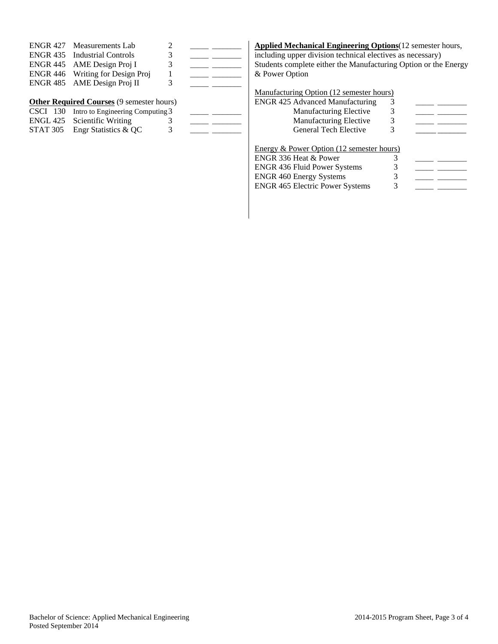| ENGR 427 Measurements Lab           |               |  |
|-------------------------------------|---------------|--|
| <b>ENGR 435</b> Industrial Controls | 3             |  |
| ENGR 445 AME Design Proj I          | 3             |  |
| ENGR 446 Writing for Design Proj    |               |  |
| ENGR 485 AME Design Proj II         | $\mathcal{R}$ |  |
|                                     |               |  |

#### **Other Required Courses** (9 semester hours)

| $\text{C}\text{S}\text{C}\text{I}$ 130 Intro to Engineering Computing 3 |  |
|-------------------------------------------------------------------------|--|
| ENGL 425 Scientific Writing                                             |  |
| STAT 305 Engr Statistics $& QC$                                         |  |

 $\overline{S}$   $\overline{S}$   $\overline{S}$   $\overline{S}$   $\overline{S}$   $\overline{S}$   $\overline{S}$   $\overline{S}$   $\overline{S}$   $\overline{S}$   $\overline{S}$   $\overline{S}$   $\overline{S}$   $\overline{S}$   $\overline{S}$   $\overline{S}$   $\overline{S}$   $\overline{S}$   $\overline{S}$   $\overline{S}$   $\overline{S}$   $\overline{S}$   $\overline{S}$   $\overline{S}$   $\overline{$ 

# **Applied Mechanical Engineering Options**(12 semester hours,

including upper division technical electives as necessary) Students complete either the Manufacturing Option or the Energy & Power Option

## Manufacturing Option (12 semester hours)

| <b>ENGR 425 Advanced Manufacturing</b>    | 3 |  |
|-------------------------------------------|---|--|
| <b>Manufacturing Elective</b>             | 3 |  |
| Manufacturing Elective                    | 3 |  |
| <b>General Tech Elective</b>              | 3 |  |
| Energy & Power Option (12 semester hours) |   |  |
| ENGR 336 Heat & Power                     |   |  |
| $ENCD$ 426 $Fbuild$ Dower Systems         |   |  |

| <b>ENGR 436 Fluid Power Systems</b>    |  |
|----------------------------------------|--|
| <b>ENGR 460 Energy Systems</b>         |  |
| <b>ENGR 465 Electric Power Systems</b> |  |